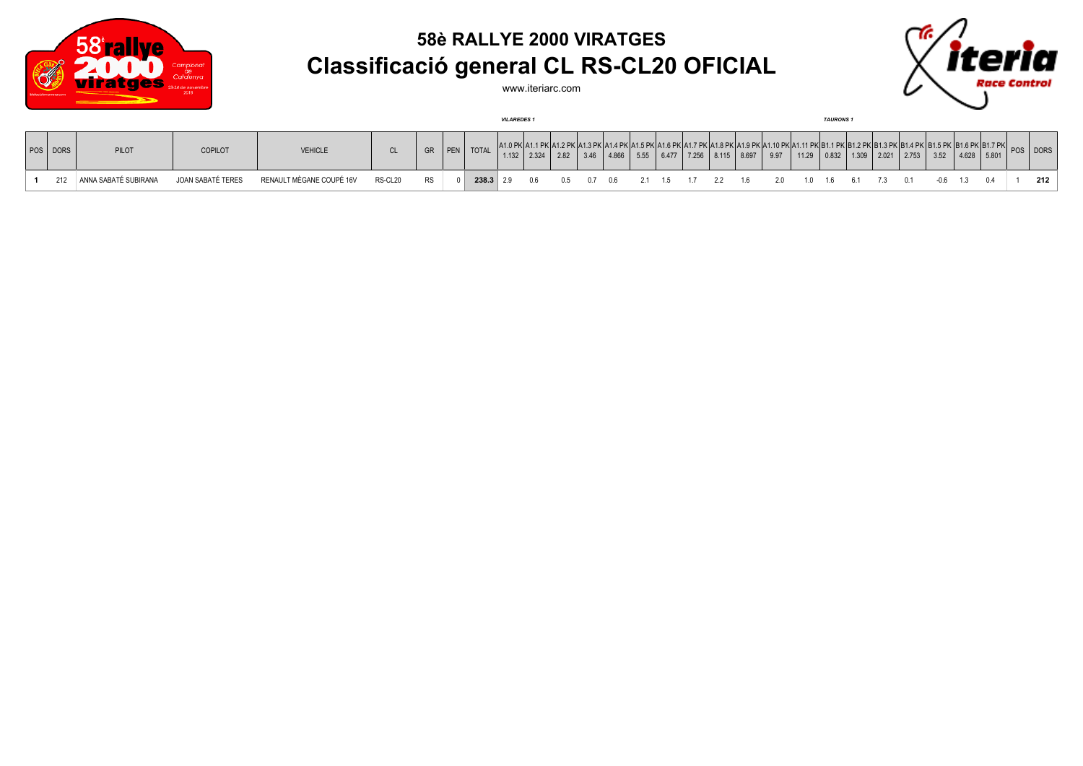

## **58è RALLYE 2000 VIRATGES Classificació general CL RS-CL20 OFICIAL**

www.iteriarc.com



|          |                      |                   |                          |           |           |     |              | <b>VILAREDES1</b> |           |          |       |       |                     |  |                                                                                                                                                                                       |                                       | <b>TAURONS1</b> |       |    |      |               |  |            |
|----------|----------------------|-------------------|--------------------------|-----------|-----------|-----|--------------|-------------------|-----------|----------|-------|-------|---------------------|--|---------------------------------------------------------------------------------------------------------------------------------------------------------------------------------------|---------------------------------------|-----------------|-------|----|------|---------------|--|------------|
| POS DORS | PILOT                | <b>COPILOT</b>    | <b>VEHICLE</b>           | <b>CL</b> | GR 1      | PEN | <b>TOTAL</b> |                   |           |          | 4.866 | 15.55 |                     |  | 1.1 PK A1.2 PK A1.3 PK A1.4 PK A1.5 PK A1.6 PK A1.7 PK A1.8 PK A1.9 PK A1.10 PK A1.11 PK B1.1 PK B1.2 PK B1.3 PK B1.4 PK  B1.5 PK  B1.6 PK B1.7 PK <br>$6.477$ 7.256 8.115 8.697 9.97 | 11.29   0.832   1.309   2.021   2.753 |                 |       |    | 3.52 | $4.628$ 5.801 |  | POS   DORS |
| 212      | ANNA SABATÉ SUBIRANA | JOAN SABATÉ TERES | RENAULT MÈGANE COUPÉ 16V | RS-CL20   | <b>RS</b> |     | $238.3$ 2.9  |                   | <b>06</b> | 05 07 06 |       |       | 2.1 1.5 1.7 2.2 1.6 |  |                                                                                                                                                                                       |                                       | 16              | 61 73 | 01 |      |               |  | 212        |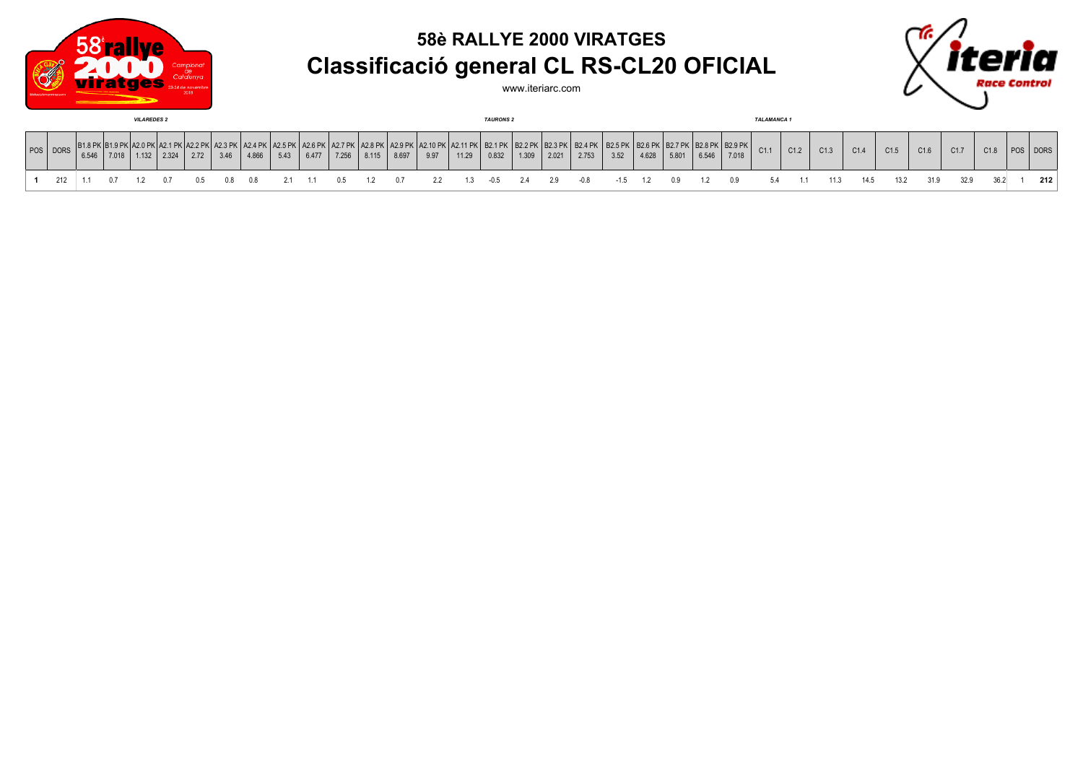

## **58è RALLYE 2000 VIRATGES Classificació general CL RS-CL20 OFICIAL**

www.iteriarc.com



| <b>VILAREDES 2</b> |          |       |       |       |       |  |      |       |      |       |  | <b>TAURONS 2</b> |       |                                                                                                           |       |       |       |       |       |      | <b>TALAMANCA 1</b> |       |       |                                                                      |      |      |      |      |      |      |      |      |          |     |
|--------------------|----------|-------|-------|-------|-------|--|------|-------|------|-------|--|------------------|-------|-----------------------------------------------------------------------------------------------------------|-------|-------|-------|-------|-------|------|--------------------|-------|-------|----------------------------------------------------------------------|------|------|------|------|------|------|------|------|----------|-----|
|                    | POS DORS | 6.546 | 7.018 | 1.132 | 2.324 |  | 3.46 | 4.866 | 5.43 | 6.477 |  | $7.256$ 8.115    | 8.697 | .   A2.6 PK   A2.7 PK   A2.8 PK   A2.9 PK   A2.10 PK   A2.11 PK   B2.1 PK   B2.2 PK   B2.3 PK   I<br>9.97 | 11.29 | 0.832 | 1.309 | 2.021 | 2.753 | 3.52 | 4.628              | 5.801 | 6.546 | B2.4 PK   B2.5 PK   B2.6 PK   B2.7 PK   B2.8 PK   B2.9 PK  <br>7.018 | C1.1 | C1.2 | C1.3 | C1.4 | C1.5 | C1.6 | C1.7 | C1.8 | POS DORS |     |
|                    |          |       |       |       |       |  |      |       |      |       |  |                  |       |                                                                                                           |       |       |       |       |       |      |                    |       |       |                                                                      |      |      |      |      | 13.2 | 31.9 |      |      |          | 212 |